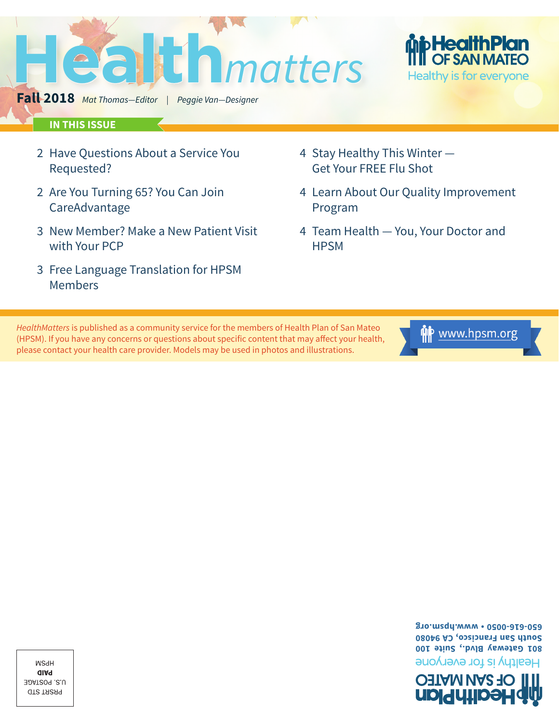**WSdH** alAq U.S. POSTAGE **GTS TARAP** 



*HealthMatters* is published as a community service for the members of Health Plan of San Mateo (HPSM). If you have any concerns or questions about specific content that may affect your health, please contact your health care provider. Models may be used in photos and illustrations.

- with Your PCP 3 Free Language Translation for HPSM Members
- CareAdvantage

2 Have Questions About a Service You

**Fall 2018** *Mat Thomas—Editor | Peggie Van—Designer*

**IN THIS ISSUE**

- 3 New Member? Make a New Patient Visit
- 2 Are You Turning 65? You Can Join
- 
- 
- Requested?

**Health** *matters*

- 4 Stay Healthy This Winter Get Your FREE Flu Shot
- 4 Learn About Our Quality Improvement Program
- 4 Team Health You, Your Doctor and **HPSM**

**p Health Plan<br>I** OF SAN MATEO Healthy is for everyone



**South San Francisco, CA 94080 650-616-0050 • www.hpsm.org**

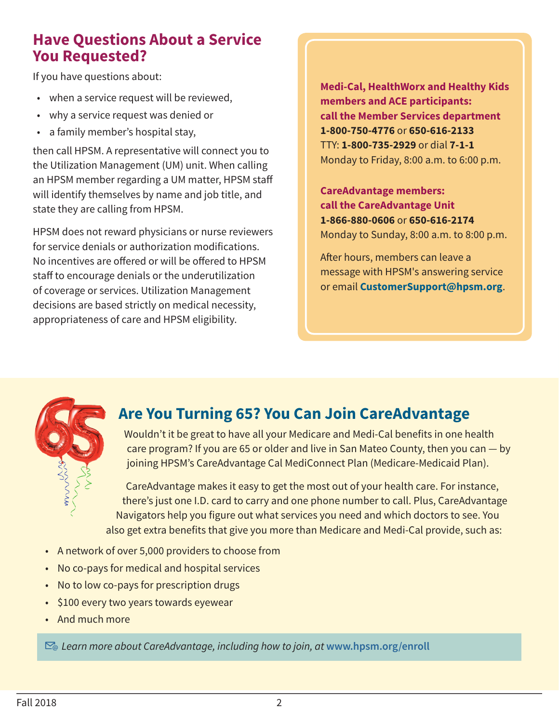### **Have Questions About a Service You Requested?**

If you have questions about:

- when a service request will be reviewed,
- why a service request was denied or
- a family member's hospital stay,

then call HPSM. A representative will connect you to the Utilization Management (UM) unit. When calling an HPSM member regarding a UM matter, HPSM staff will identify themselves by name and job title, and state they are calling from HPSM.

HPSM does not reward physicians or nurse reviewers for service denials or authorization modifications. No incentives are offered or will be offered to HPSM staff to encourage denials or the underutilization of coverage or services. Utilization Management decisions are based strictly on medical necessity, appropriateness of care and HPSM eligibility.

**Medi-Cal, HealthWorx and Healthy Kids members and ACE participants: call the Member Services department 1-800-750-4776** or **650-616-2133** TTY: **1-800-735-2929** or dial **7-1-1** Monday to Friday, 8:00 a.m. to 6:00 p.m.

**CareAdvantage members: call the CareAdvantage Unit 1-866-880-0606** or **650-616-2174** Monday to Sunday, 8:00 a.m. to 8:00 p.m.

After hours, members can leave a message with HPSM's answering service or email **CustomerSupport@hpsm.org**.



# **Are You Turning 65? You Can Join CareAdvantage**

Wouldn't it be great to have all your Medicare and Medi-Cal benefits in one health care program? If you are 65 or older and live in San Mateo County, then you can — by joining HPSM's CareAdvantage Cal MediConnect Plan (Medicare-Medicaid Plan).

CareAdvantage makes it easy to get the most out of your health care. For instance, there's just one I.D. card to carry and one phone number to call. Plus, CareAdvantage Navigators help you figure out what services you need and which doctors to see. You also get extra benefits that give you more than Medicare and Medi-Cal provide, such as:

- A network of over 5,000 providers to choose from
- No co-pays for medical and hospital services
- No to low co-pays for prescription drugs
- \$100 every two years towards eyewear
- And much more

*Learn more about CareAdvantage, including how to join, at* **www.hpsm.org/enroll**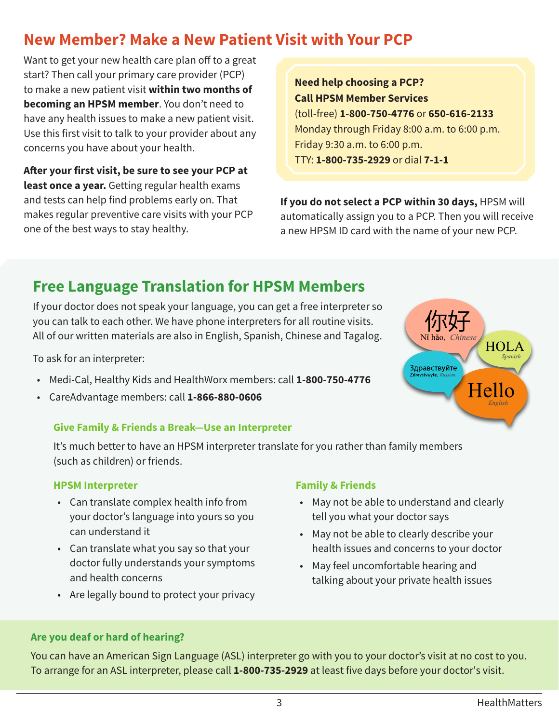# **New Member? Make a New Patient Visit with Your PCP**

Want to get your new health care plan off to a great start? Then call your primary care provider (PCP) to make a new patient visit **within two months of becoming an HPSM member**. You don't need to have any health issues to make a new patient visit. Use this first visit to talk to your provider about any concerns you have about your health.

**After your first visit, be sure to see your PCP at least once a year.** Getting regular health exams and tests can help find problems early on. That makes regular preventive care visits with your PCP one of the best ways to stay healthy.

**Need help choosing a PCP? Call HPSM Member Services**  (toll-free) **1-800-750-4776** or **650-616-2133** Monday through Friday 8:00 a.m. to 6:00 p.m. Friday 9:30 a.m. to 6:00 p.m. TTY: **1-800-735-2929** or dial **7-1-1**

**If you do not select a PCP within 30 days,** HPSM will automatically assign you to a PCP. Then you will receive a new HPSM ID card with the name of your new PCP.

# **Free Language Translation for HPSM Members**

If your doctor does not speak your language, you can get a free interpreter so you can talk to each other. We have phone interpreters for all routine visits. All of our written materials are also in English, Spanish, Chinese and Tagalog.

To ask for an interpreter:

- Medi-Cal, Healthy Kids and HealthWorx members: call **1-800-750-4776**
- CareAdvantage members: call **1-866-880-0606**

#### **Give Family & Friends a Break—Use an Interpreter**

It's much better to have an HPSM interpreter translate for you rather than family members (such as children) or friends.

#### **HPSM Interpreter**

- Can translate complex health info from your doctor's language into yours so you can understand it
- Can translate what you say so that your doctor fully understands your symptoms and health concerns
- Are legally bound to protect your privacy

#### **Family & Friends**

- May not be able to understand and clearly tell you what your doctor says
- May not be able to clearly describe your health issues and concerns to your doctor
- May feel uncomfortable hearing and talking about your private health issues

#### **Are you deaf or hard of hearing?**

You can have an American Sign Language (ASL) interpreter go with you to your doctor's visit at no cost to you. To arrange for an ASL interpreter, please call **1-800-735-2929** at least five days before your doctor's visit.